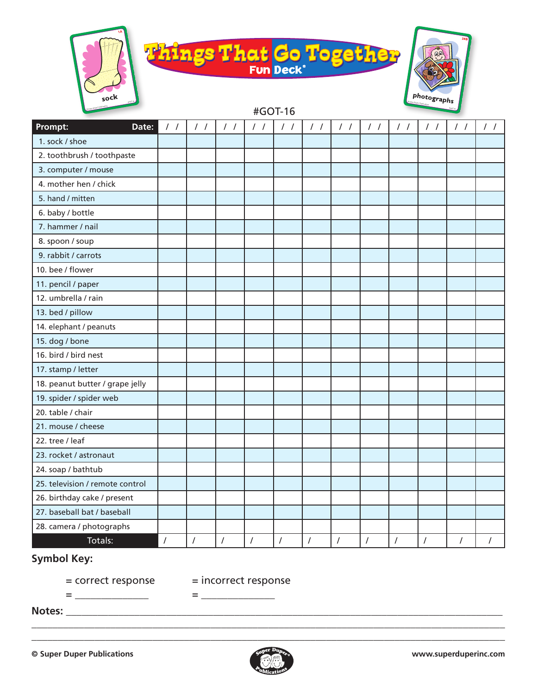





| Prompt:<br>Date:                | $\frac{1}{2}$ | $\frac{1}{2}$        | $\frac{1}{2}$ | $\frac{1}{2}$  | $\frac{1}{2}$  | $\frac{1}{2}$  | $\frac{1}{2}$        | $\frac{1}{2}$  | $\frac{1}{2}$ | $\frac{1}{2}$ | $\frac{1}{2}$  | $\prime$ / |
|---------------------------------|---------------|----------------------|---------------|----------------|----------------|----------------|----------------------|----------------|---------------|---------------|----------------|------------|
| 1. sock / shoe                  |               |                      |               |                |                |                |                      |                |               |               |                |            |
| 2. toothbrush / toothpaste      |               |                      |               |                |                |                |                      |                |               |               |                |            |
| 3. computer / mouse             |               |                      |               |                |                |                |                      |                |               |               |                |            |
| 4. mother hen / chick           |               |                      |               |                |                |                |                      |                |               |               |                |            |
| 5. hand / mitten                |               |                      |               |                |                |                |                      |                |               |               |                |            |
| 6. baby / bottle                |               |                      |               |                |                |                |                      |                |               |               |                |            |
| 7. hammer / nail                |               |                      |               |                |                |                |                      |                |               |               |                |            |
| 8. spoon / soup                 |               |                      |               |                |                |                |                      |                |               |               |                |            |
| 9. rabbit / carrots             |               |                      |               |                |                |                |                      |                |               |               |                |            |
| 10. bee / flower                |               |                      |               |                |                |                |                      |                |               |               |                |            |
| 11. pencil / paper              |               |                      |               |                |                |                |                      |                |               |               |                |            |
| 12. umbrella / rain             |               |                      |               |                |                |                |                      |                |               |               |                |            |
| 13. bed / pillow                |               |                      |               |                |                |                |                      |                |               |               |                |            |
| 14. elephant / peanuts          |               |                      |               |                |                |                |                      |                |               |               |                |            |
| 15. dog / bone                  |               |                      |               |                |                |                |                      |                |               |               |                |            |
| 16. bird / bird nest            |               |                      |               |                |                |                |                      |                |               |               |                |            |
| 17. stamp / letter              |               |                      |               |                |                |                |                      |                |               |               |                |            |
| 18. peanut butter / grape jelly |               |                      |               |                |                |                |                      |                |               |               |                |            |
| 19. spider / spider web         |               |                      |               |                |                |                |                      |                |               |               |                |            |
| 20. table / chair               |               |                      |               |                |                |                |                      |                |               |               |                |            |
| 21. mouse / cheese              |               |                      |               |                |                |                |                      |                |               |               |                |            |
| 22. tree / leaf                 |               |                      |               |                |                |                |                      |                |               |               |                |            |
| 23. rocket / astronaut          |               |                      |               |                |                |                |                      |                |               |               |                |            |
| 24. soap / bathtub              |               |                      |               |                |                |                |                      |                |               |               |                |            |
| 25. television / remote control |               |                      |               |                |                |                |                      |                |               |               |                |            |
| 26. birthday cake / present     |               |                      |               |                |                |                |                      |                |               |               |                |            |
| 27. baseball bat / baseball     |               |                      |               |                |                |                |                      |                |               |               |                |            |
| 28. camera / photographs        |               |                      |               |                |                |                |                      |                |               |               |                |            |
| Totals:                         | $\sqrt{ }$    | $\sqrt{\phantom{a}}$ | $\prime$      | $\overline{I}$ | $\overline{I}$ | $\overline{I}$ | $\sqrt{\phantom{a}}$ | $\overline{I}$ | $\cal I$      | $\sqrt{2}$    | $\overline{I}$ | $\prime$   |

## **Symbol Key:**

= \_\_\_\_\_\_\_\_\_\_\_\_\_\_ = \_\_\_\_\_\_\_\_\_\_\_\_\_\_

= correct response = incorrect response

**Notes:** \_\_\_\_\_\_\_\_\_\_\_\_\_\_\_\_\_\_\_\_\_\_\_\_\_\_\_\_\_\_\_\_\_\_\_\_\_\_\_\_\_\_\_\_\_\_\_\_\_\_\_\_\_\_\_\_\_\_\_\_\_\_\_\_\_\_\_\_\_\_\_\_\_\_\_\_\_\_\_\_\_\_\_



\_\_\_\_\_\_\_\_\_\_\_\_\_\_\_\_\_\_\_\_\_\_\_\_\_\_\_\_\_\_\_\_\_\_\_\_\_\_\_\_\_\_\_\_\_\_\_\_\_\_\_\_\_\_\_\_\_\_\_\_\_\_\_\_\_\_\_\_\_\_\_\_\_\_\_\_\_\_\_\_\_\_\_\_\_\_\_\_\_\_ \_\_\_\_\_\_\_\_\_\_\_\_\_\_\_\_\_\_\_\_\_\_\_\_\_\_\_\_\_\_\_\_\_\_\_\_\_\_\_\_\_\_\_\_\_\_\_\_\_\_\_\_\_\_\_\_\_\_\_\_\_\_\_\_\_\_\_\_\_\_\_\_\_\_\_\_\_\_\_\_\_\_\_\_\_\_\_\_\_\_